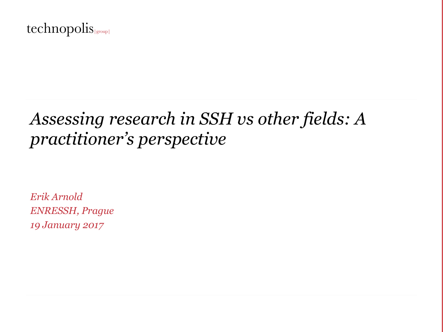#### technopolis (group)

# *Assessing research in SSH vs other fields: A practitioner's perspective*

*Erik Arnold ENRESSH, Prague 19 January 2017*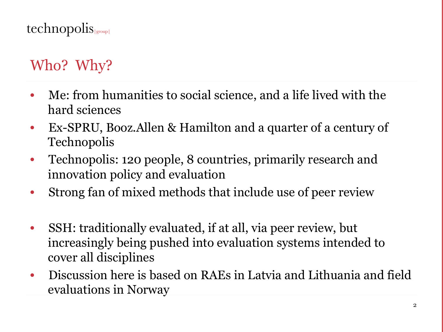# Who? Why?

- Me: from humanities to social science, and a life lived with the hard sciences
- Ex-SPRU, Booz.Allen & Hamilton and a quarter of a century of Technopolis
- Technopolis: 120 people, 8 countries, primarily research and innovation policy and evaluation
- Strong fan of mixed methods that include use of peer review
- SSH: traditionally evaluated, if at all, via peer review, but increasingly being pushed into evaluation systems intended to cover all disciplines
- Discussion here is based on RAEs in Latvia and Lithuania and field evaluations in Norway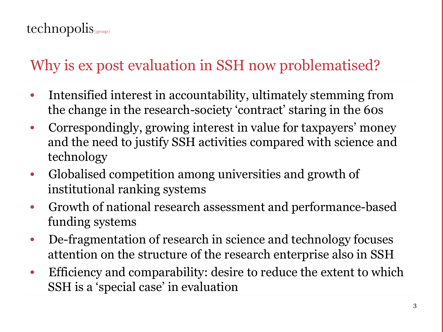# Why is ex post evaluation in SSH now problematised?

- Intensified interest in accountability, ultimately stemming from the change in the research-society 'contract' staring in the 60s
- Correspondingly, growing interest in value for taxpayers' money and the need to justify SSH activities compared with science and technology
- Globalised competition among universities and growth of institutional ranking systems
- Growth of national research assessment and performance-based funding systems
- De-fragmentation of research in science and technology focuses attention on the structure of the research enterprise also in SSH
- Efficiency and comparability: desire to reduce the extent to which SSH is a 'special case' in evaluation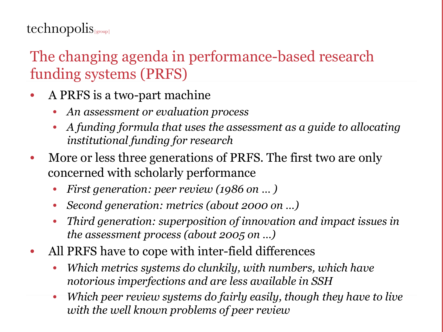$technopolis_{|group|}$ 

## The changing agenda in performance-based research funding systems (PRFS)

- A PRFS is a two-part machine
	- *An assessment or evaluation process*
	- *A funding formula that uses the assessment as a guide to allocating institutional funding for research*
- More or less three generations of PRFS. The first two are only concerned with scholarly performance
	- *First generation: peer review (1986 on … )*
	- *Second generation: metrics (about 2000 on …)*
	- *Third generation: superposition of innovation and impact issues in the assessment process (about 2005 on …)*
- All PRFS have to cope with inter-field differences
	- *Which metrics systems do clunkily, with numbers, which have notorious imperfections and are less available in SSH*
	- *Which peer review systems do fairly easily, though they have to live with the well known problems of peer review*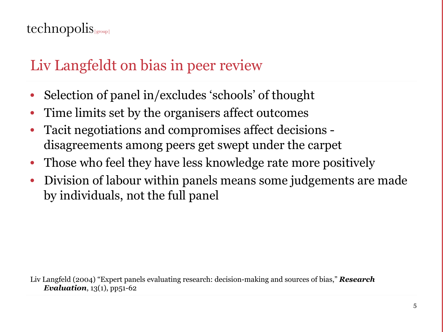## Liv Langfeldt on bias in peer review

- Selection of panel in/excludes 'schools' of thought
- Time limits set by the organisers affect outcomes
- Tacit negotiations and compromises affect decisions disagreements among peers get swept under the carpet
- Those who feel they have less knowledge rate more positively
- Division of labour within panels means some judgements are made by individuals, not the full panel

Liv Langfeld (2004) "Expert panels evaluating research: decision-making and sources of bias," *Research Evaluation*,  $13(1)$ ,  $pp51-62$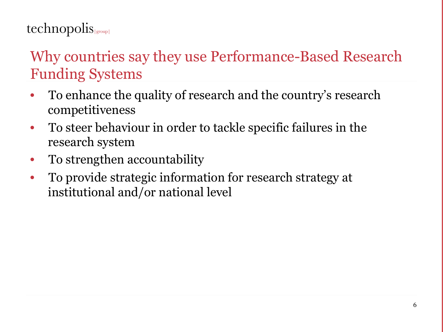## technopolis

## Why countries say they use Performance-Based Research Funding Systems

- To enhance the quality of research and the country's research competitiveness
- To steer behaviour in order to tackle specific failures in the research system
- To strengthen accountability
- To provide strategic information for research strategy at institutional and/or national level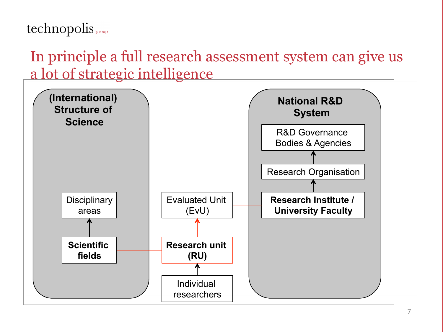In principle a full research assessment system can give us a lot of strategic intelligence

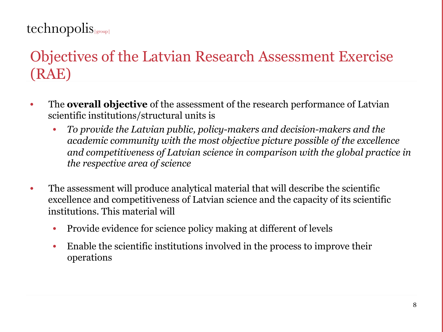## $technopolis_{|group|}$

## Objectives of the Latvian Research Assessment Exercise (RAE)

- The **overall objective** of the assessment of the research performance of Latvian scientific institutions/structural units is
	- *To provide the Latvian public, policy-makers and decision-makers and the academic community with the most objective picture possible of the excellence and competitiveness of Latvian science in comparison with the global practice in the respective area of science*
- The assessment will produce analytical material that will describe the scientific excellence and competitiveness of Latvian science and the capacity of its scientific institutions. This material will
	- Provide evidence for science policy making at different of levels
	- Enable the scientific institutions involved in the process to improve their operations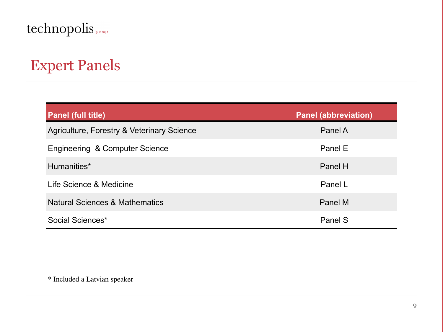### $technopolis_{\text{\tiny{[group]}}}$

## Expert Panels

| <b>Panel (full title)</b>                  | <b>Panel (abbreviation)</b> |
|--------------------------------------------|-----------------------------|
| Agriculture, Forestry & Veterinary Science | Panel A                     |
| Engineering & Computer Science             | Panel E                     |
| Humanities*                                | Panel H                     |
| Life Science & Medicine                    | Panel L                     |
| <b>Natural Sciences &amp; Mathematics</b>  | Panel M                     |
| Social Sciences*                           | Panel S                     |

\* Included a Latvian speaker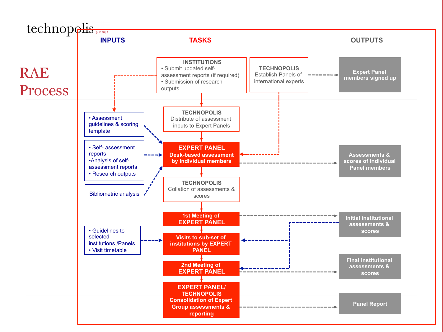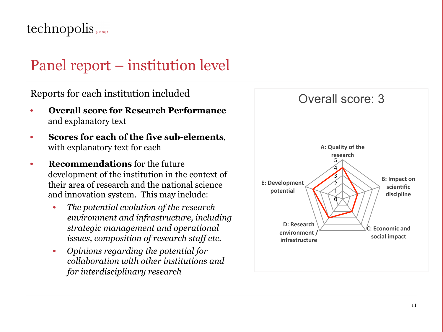## $technopolis_{|group|}$

## Panel report – institution level

Reports for each institution included

- **Overall score for Research Performance**  and explanatory text
- **Scores for each of the five sub-elements**, with explanatory text for each
- **Recommendations** for the future development of the institution in the context of their area of research and the national science and innovation system. This may include:
	- *The potential evolution of the research environment and infrastructure, including strategic management and operational issues, composition of research staff etc.*
	- *Opinions regarding the potential for collaboration with other institutions and for interdisciplinary research*

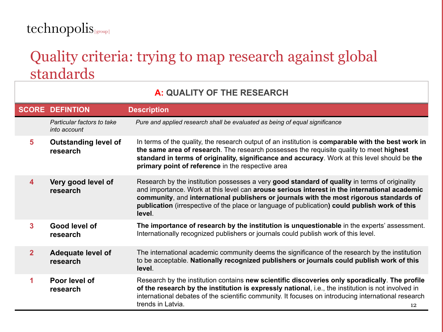## technopolis (group)

### Quality criteria: trying to map research against global standards

#### **A: QUALITY OF THE RESEARCH**

|              | <b>SCORE DEFINTION</b>                     | <b>Description</b>                                                                                                                                                                                                                                                                                                                                                                                  |
|--------------|--------------------------------------------|-----------------------------------------------------------------------------------------------------------------------------------------------------------------------------------------------------------------------------------------------------------------------------------------------------------------------------------------------------------------------------------------------------|
|              | Particular factors to take<br>into account | Pure and applied research shall be evaluated as being of equal significance                                                                                                                                                                                                                                                                                                                         |
| 5            | <b>Outstanding level of</b><br>research    | In terms of the quality, the research output of an institution is comparable with the best work in<br>the same area of research. The research possesses the requisite quality to meet highest<br>standard in terms of originality, significance and accuracy. Work at this level should be the<br>primary point of reference in the respective area                                                 |
| 4            | Very good level of<br>research             | Research by the institution possesses a very good standard of quality in terms of originality<br>and importance. Work at this level can arouse serious interest in the international academic<br>community, and international publishers or journals with the most rigorous standards of<br>publication (irrespective of the place or language of publication) could publish work of this<br>level. |
| 3            | Good level of<br>research                  | The importance of research by the institution is unquestionable in the experts' assessment.<br>Internationally recognized publishers or journals could publish work of this level.                                                                                                                                                                                                                  |
| $\mathbf{2}$ | <b>Adequate level of</b><br>research       | The international academic community deems the significance of the research by the institution<br>to be acceptable. Nationally recognized publishers or journals could publish work of this<br>level.                                                                                                                                                                                               |
| 1            | Poor level of<br>research                  | Research by the institution contains new scientific discoveries only sporadically. The profile<br>of the research by the institution is expressly national, i.e., the institution is not involved in<br>international debates of the scientific community. It focuses on introducing international research<br>trends in Latvia.<br>12                                                              |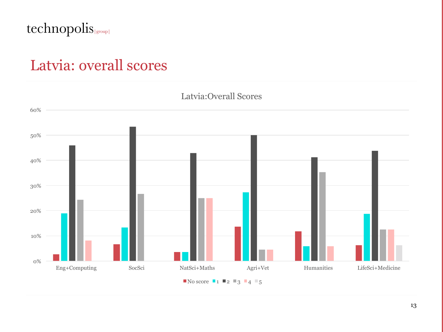#### technopolis

### Latvia: overall scores

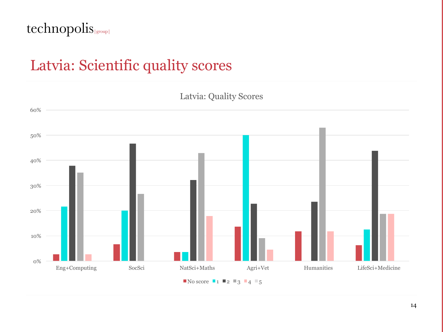#### technopolis (group)

### Latvia: Scientific quality scores

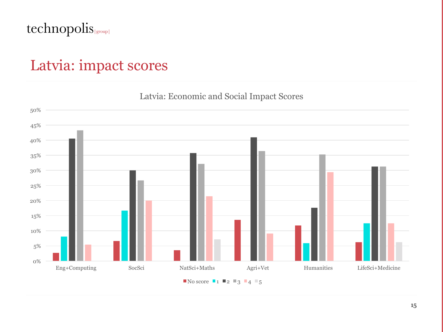#### technopolis (group)

## Latvia: impact scores



#### Latvia: Economic and Social Impact Scores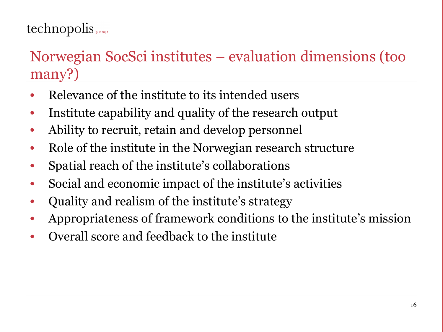## $technopolis_{\text{group}}$

## Norwegian SocSci institutes – evaluation dimensions (too many?)

- Relevance of the institute to its intended users
- Institute capability and quality of the research output
- Ability to recruit, retain and develop personnel
- Role of the institute in the Norwegian research structure
- Spatial reach of the institute's collaborations
- Social and economic impact of the institute's activities
- Quality and realism of the institute's strategy
- Appropriateness of framework conditions to the institute's mission
- Overall score and feedback to the institute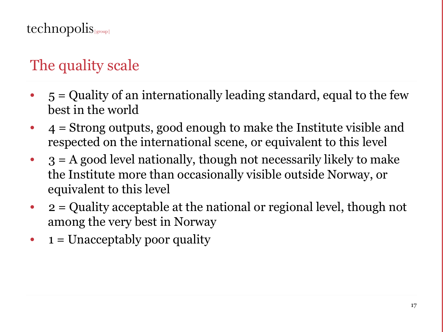# The quality scale

- $5 =$ Quality of an internationally leading standard, equal to the few best in the world
- $\bullet$  4 = Strong outputs, good enough to make the Institute visible and respected on the international scene, or equivalent to this level
- $3 = A$  good level nationally, though not necessarily likely to make the Institute more than occasionally visible outside Norway, or equivalent to this level
- $2 =$  Quality acceptable at the national or regional level, though not among the very best in Norway
- $1 =$  Unacceptably poor quality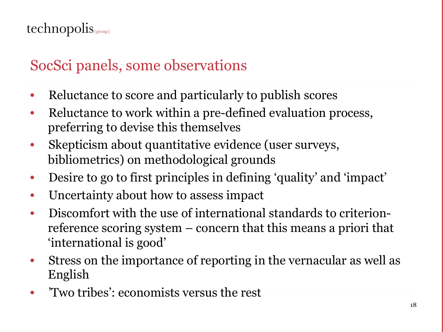## $technopolis_{|group|}$

## SocSci panels, some observations

- Reluctance to score and particularly to publish scores
- Reluctance to work within a pre-defined evaluation process, preferring to devise this themselves
- Skepticism about quantitative evidence (user surveys, bibliometrics) on methodological grounds
- Desire to go to first principles in defining 'quality' and 'impact'
- Uncertainty about how to assess impact
- Discomfort with the use of international standards to criterionreference scoring system – concern that this means a priori that 'international is good'
- Stress on the importance of reporting in the vernacular as well as English
- 'Two tribes': economists versus the rest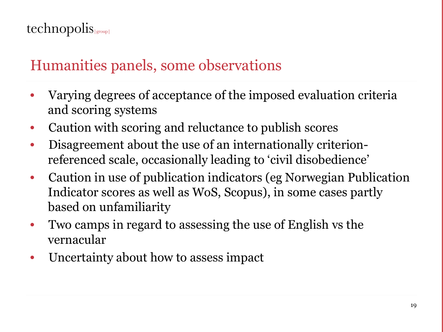## Humanities panels, some observations

- Varying degrees of acceptance of the imposed evaluation criteria and scoring systems
- Caution with scoring and reluctance to publish scores
- Disagreement about the use of an internationally criterionreferenced scale, occasionally leading to 'civil disobedience'
- Caution in use of publication indicators (eg Norwegian Publication Indicator scores as well as WoS, Scopus), in some cases partly based on unfamiliarity
- Two camps in regard to assessing the use of English vs the vernacular
- Uncertainty about how to assess impact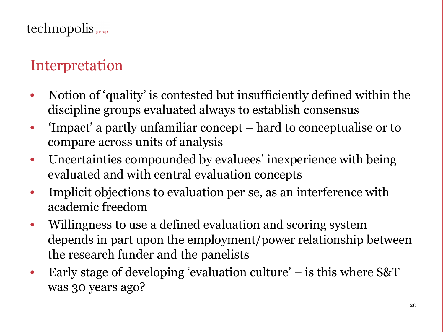# Interpretation

- Notion of 'quality' is contested but insufficiently defined within the discipline groups evaluated always to establish consensus
- 'Impact' a partly unfamiliar concept hard to conceptualise or to compare across units of analysis
- Uncertainties compounded by evaluees' inexperience with being evaluated and with central evaluation concepts
- Implicit objections to evaluation per se, as an interference with academic freedom
- Willingness to use a defined evaluation and scoring system depends in part upon the employment/power relationship between the research funder and the panelists
- Early stage of developing 'evaluation culture'  $-$  is this where S&T was 30 years ago?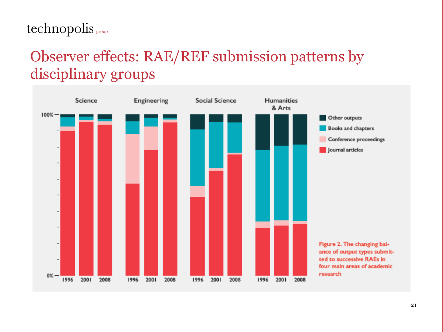#### technopolis(group)

## Observer effects: RAE/REF submission patterns by disciplinary groups